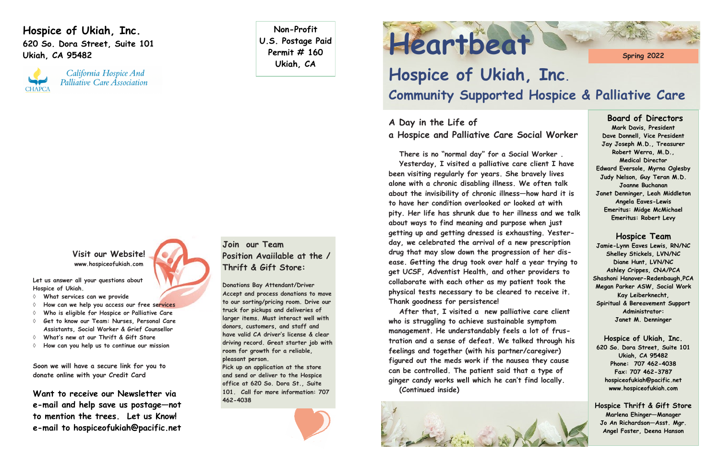**Hospice of Ukiah, Inc. 620 So. Dora Street, Suite 101 Ukiah, CA 95482**



California Hospice And Palliative Care Association

**Non-Profit U.S. Postage Paid Permit # 160 Ukiah, CA**

# Heartbeat Strawing 2022

## **Hospice of Ukiah, Inc. Community Supported Hospice & Palliative Care**

#### **Board of Directors**

**Mark Davis, President Dave Donnell, Vice President Jay Joseph M.D., Treasurer Robert Werra, M.D., Medical Director Edward Eversole, Myrna Oglesby Judy Nelson, Guy Teran M.D. Joanne Buchanan Janet Denninger, Leah Middleton Angela Eaves-Lewis Emeritus: Midge McMichael Emeritus: Robert Levy**

## **Hospice Team**

**Jamie-Lynn Eaves Lewis, RN/NC Shelley Stickels, LVN/NC Diane Hunt, LVN/NC Ashley Crippes, CNA/PCA Shashoni Hanover-Redenbaugh,PCA Megan Parker ASW, Social Work Kay Leiberknecht, Spiritual & Bereavement Support Administrator: Janet M. Denninger**

**Hospice of Ukiah, Inc. 620 So. Dora Street, Suite 101 Ukiah, CA 95482 Phone: 707 462-4038 Fax: 707 462-3787 hospiceofukiah@pacific.net www.hospiceofukiah.com**

**Hospice Thrift & Gift Store Marlena Ehinger—Manager Jo An Richardson—Asst. Mgr. Angel Foster, Deena Hanson**

## **A Day in the Life of a Hospice and Palliative Care Social Worker**

**There is no "normal day" for a Social Worker . Yesterday, I visited a palliative care client I have been visiting regularly for years. She bravely lives alone with a chronic disabling illness. We often talk about the invisibility of chronic illness—how hard it is to have her condition overlooked or looked at with pity. Her life has shrunk due to her illness and we talk about ways to find meaning and purpose when just getting up and getting dressed is exhausting. Yesterday, we celebrated the arrival of a new prescription drug that may slow down the progression of her disease. Getting the drug took over half a year trying to get UCSF, Adventist Health, and other providers to collaborate with each other as my patient took the physical tests necessary to be cleared to receive it. Thank goodness for persistence!**

**After that, I visited a new palliative care client who is struggling to achieve sustainable symptom management. He understandably feels a lot of frustration and a sense of defeat. We talked through his feelings and together (with his partner/caregiver) figured out the meds work if the nausea they cause can be controlled. The patient said that a type of ginger candy works well which he can't find locally. (Continued inside)**



**Visit our Website! www.hospiceofukiah.com**



**Let us answer all your questions about Hospice of Ukiah.**

- **What services can we provide**
- **How can we help you access our free services**
- **Who is eligible for Hospice or Palliative Care**
- **Get to know our Team: Nurses, Personal Care Assistants, Social Worker & Grief Counsellor**
- **What's new at our Thrift & Gift Store**
- **How can you help us to continue our mission**

**Soon we will have a secure link for you to donate online with your Credit Card** 

**Want to receive our Newsletter via e-mail and help save us postage—not to mention the trees. Let us Know! e-mail to hospiceofukiah@pacific.net** 

## **Join our Team Position Avaiilable at the / Thrift & Gift Store:**

**Donations Bay Attendant/Driver Accept and process donations to move to our sorting/pricing room. Drive our truck for pickups and deliveries of larger items. Must interact well with donors, customers, and staff and have valid CA driver's license & clear driving record. Great starter job with room for growth for a reliable, pleasant person.** 

**Pick up an application at the store and send or deliver to the Hospice office at 620 So. Dora St., Suite 101. Call for more information: 707 462-4038**